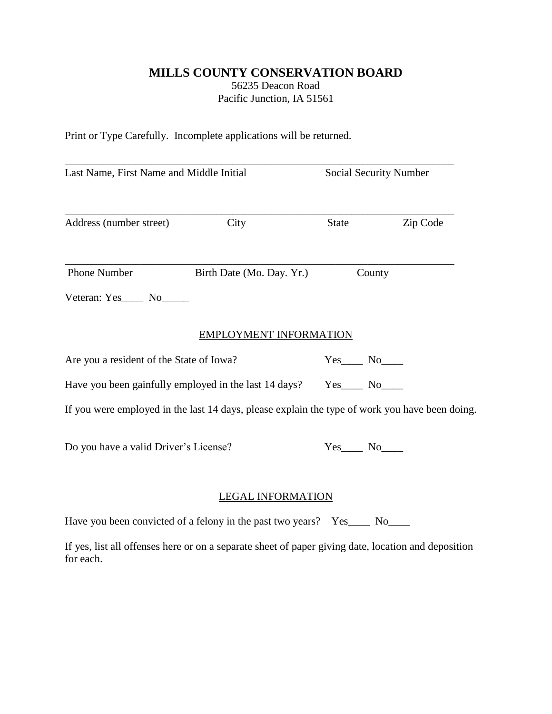## **MILLS COUNTY CONSERVATION BOARD** 56235 Deacon Road Pacific Junction, IA 51561

Print or Type Carefully. Incomplete applications will be returned.

| Last Name, First Name and Middle Initial                              |                                                                                                     | Social Security Number |          |
|-----------------------------------------------------------------------|-----------------------------------------------------------------------------------------------------|------------------------|----------|
| Address (number street)                                               | City                                                                                                | State                  | Zip Code |
| Phone Number                                                          | Birth Date (Mo. Day. Yr.)                                                                           | County                 |          |
| Veteran: Yes_____ No______                                            |                                                                                                     |                        |          |
|                                                                       | <b>EMPLOYMENT INFORMATION</b>                                                                       |                        |          |
| Are you a resident of the State of Iowa?                              |                                                                                                     | $Yes$ No $N$           |          |
| Have you been gainfully employed in the last 14 days? Yes_____ No____ |                                                                                                     |                        |          |
|                                                                       | If you were employed in the last 14 days, please explain the type of work you have been doing.      |                        |          |
| Do you have a valid Driver's License?                                 |                                                                                                     |                        |          |
|                                                                       | <b>LEGAL INFORMATION</b>                                                                            |                        |          |
|                                                                       | Have you been convicted of a felony in the past two years? Yes_____ No_____                         |                        |          |
| for each.                                                             | If yes, list all offenses here or on a separate sheet of paper giving date, location and deposition |                        |          |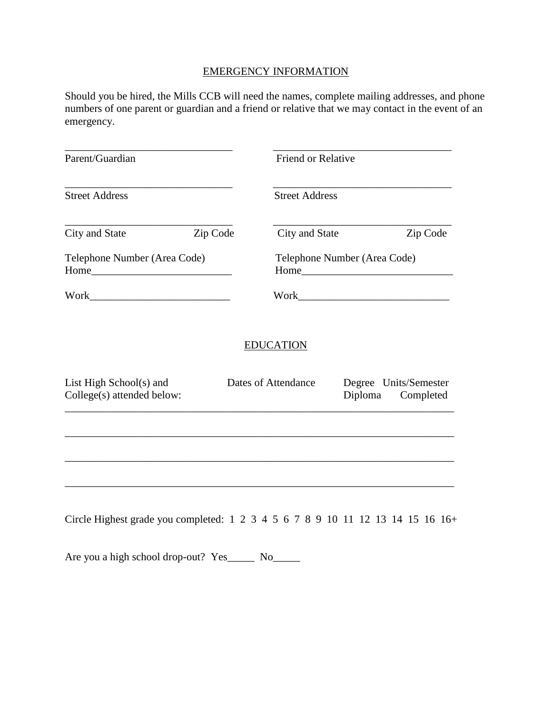## EMERGENCY INFORMATION

Should you be hired, the Mills CCB will need the names, complete mailing addresses, and phone numbers of one parent or guardian and a friend or relative that we may contact in the event of an emergency.

| Parent/Guardian                                                                |                            | Friend or Relative                   |                                    |  |
|--------------------------------------------------------------------------------|----------------------------|--------------------------------------|------------------------------------|--|
| <b>Street Address</b>                                                          | <b>Street Address</b>      |                                      |                                    |  |
| City and State                                                                 | Zip Code<br>City and State |                                      | Zip Code                           |  |
| Telephone Number (Area Code)                                                   |                            | Telephone Number (Area Code)<br>Home |                                    |  |
|                                                                                |                            |                                      |                                    |  |
|                                                                                | <b>EDUCATION</b>           |                                      |                                    |  |
| List High School(s) and<br>College(s) attended below:                          | Dates of Attendance        | Diploma                              | Degree Units/Semester<br>Completed |  |
|                                                                                |                            |                                      |                                    |  |
|                                                                                |                            |                                      |                                    |  |
| Circle Highest grade you completed: 1 2 3 4 5 6 7 8 9 10 11 12 13 14 15 16 16+ |                            |                                      |                                    |  |

Are you a high school drop-out? Yes\_\_\_\_\_\_ No\_\_\_\_\_\_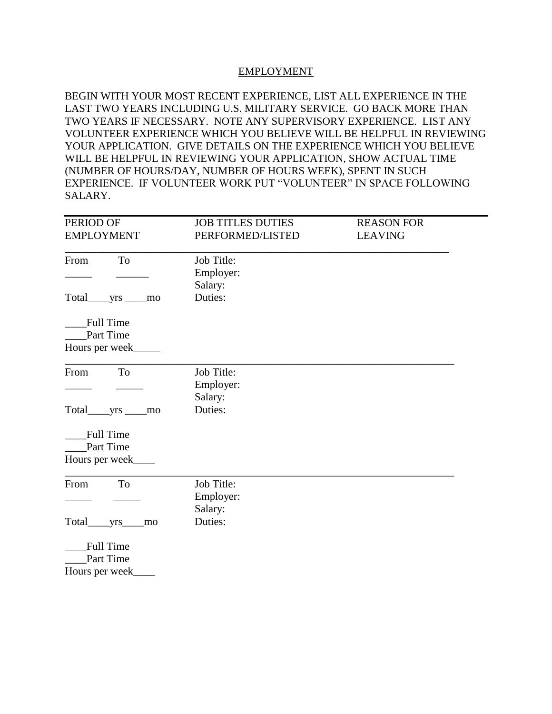## EMPLOYMENT

BEGIN WITH YOUR MOST RECENT EXPERIENCE, LIST ALL EXPERIENCE IN THE LAST TWO YEARS INCLUDING U.S. MILITARY SERVICE. GO BACK MORE THAN TWO YEARS IF NECESSARY. NOTE ANY SUPERVISORY EXPERIENCE. LIST ANY VOLUNTEER EXPERIENCE WHICH YOU BELIEVE WILL BE HELPFUL IN REVIEWING YOUR APPLICATION. GIVE DETAILS ON THE EXPERIENCE WHICH YOU BELIEVE WILL BE HELPFUL IN REVIEWING YOUR APPLICATION, SHOW ACTUAL TIME (NUMBER OF HOURS/DAY, NUMBER OF HOURS WEEK), SPENT IN SUCH EXPERIENCE. IF VOLUNTEER WORK PUT "VOLUNTEER" IN SPACE FOLLOWING SALARY.

| <b>EMPLOYMENT</b><br>PERFORMED/LISTED<br><b>LEAVING</b><br>From<br>To<br>Job Title:<br>Employer:<br>Salary:<br>Duties:<br>Total yrs mo<br><b>Full Time</b><br>Part Time<br>Hours per week |  |
|-------------------------------------------------------------------------------------------------------------------------------------------------------------------------------------------|--|
|                                                                                                                                                                                           |  |
|                                                                                                                                                                                           |  |
|                                                                                                                                                                                           |  |
|                                                                                                                                                                                           |  |
|                                                                                                                                                                                           |  |
|                                                                                                                                                                                           |  |
| Job Title:<br>From<br><b>To</b><br>Employer:<br>Salary:                                                                                                                                   |  |
| Duties:<br>Total yrs mo                                                                                                                                                                   |  |
| <b>Full Time</b><br>Part Time                                                                                                                                                             |  |
| Hours per week                                                                                                                                                                            |  |
| To<br>Job Title:<br>From<br>Employer:<br>Salary:                                                                                                                                          |  |
| Duties:<br>mo                                                                                                                                                                             |  |
| Full Time<br>Part Time                                                                                                                                                                    |  |
| Hours per week                                                                                                                                                                            |  |